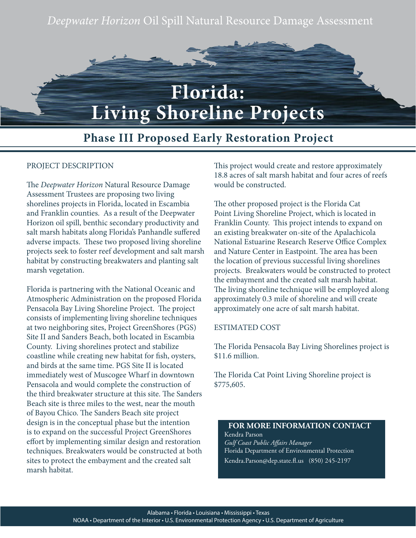*Deepwater Horizon* Oil Spill Natural Resource Damage Assessment



**Living Shoreline Projects**

# **Phase III Proposed Early Restoration Project**

### PROJECT DESCRIPTION

The *Deepwater Horizon* Natural Resource Damage Assessment Trustees are proposing two living shorelines projects in Florida, located in Escambia and Franklin counties. As a result of the Deepwater Horizon oil spill, benthic secondary productivity and salt marsh habitats along Florida's Panhandle suffered adverse impacts. These two proposed living shoreline projects seek to foster reef development and salt marsh habitat by constructing breakwaters and planting salt marsh vegetation.

Florida is partnering with the National Oceanic and Atmospheric Administration on the proposed Florida Pensacola Bay Living Shoreline Project. The project consists of implementing living shoreline techniques at two neighboring sites, Project GreenShores (PGS) Site II and Sanders Beach, both located in Escambia County. Living shorelines protect and stabilize coastline while creating new habitat for fish, oysters, and birds at the same time. PGS Site II is located immediately west of Muscogee Wharf in downtown Pensacola and would complete the construction of the third breakwater structure at this site. The Sanders Beach site is three miles to the west, near the mouth of Bayou Chico. The Sanders Beach site project design is in the conceptual phase but the intention is to expand on the successful Project GreenShores effort by implementing similar design and restoration techniques. Breakwaters would be constructed at both sites to protect the embayment and the created salt marsh habitat.

This project would create and restore approximately 18.8 acres of salt marsh habitat and four acres of reefs would be constructed.

The other proposed project is the Florida Cat Point Living Shoreline Project, which is located in Franklin County. This project intends to expand on an existing breakwater on-site of the Apalachicola National Estuarine Research Reserve Office Complex and Nature Center in Eastpoint. The area has been the location of previous successful living shorelines projects. Breakwaters would be constructed to protect the embayment and the created salt marsh habitat. The living shoreline technique will be employed along approximately 0.3 mile of shoreline and will create approximately one acre of salt marsh habitat.

## ESTIMATED COST

The Florida Pensacola Bay Living Shorelines project is \$11.6 million.

The Florida Cat Point Living Shoreline project is \$775,605.

## **FOR MORE INFORMATION CONTACT** Kendra Parson *Gulf Coast Public Affairs Manager* Florida Department of Environmental Protection Kendra.Parson@dep.state.fl.us (850) 245-2197